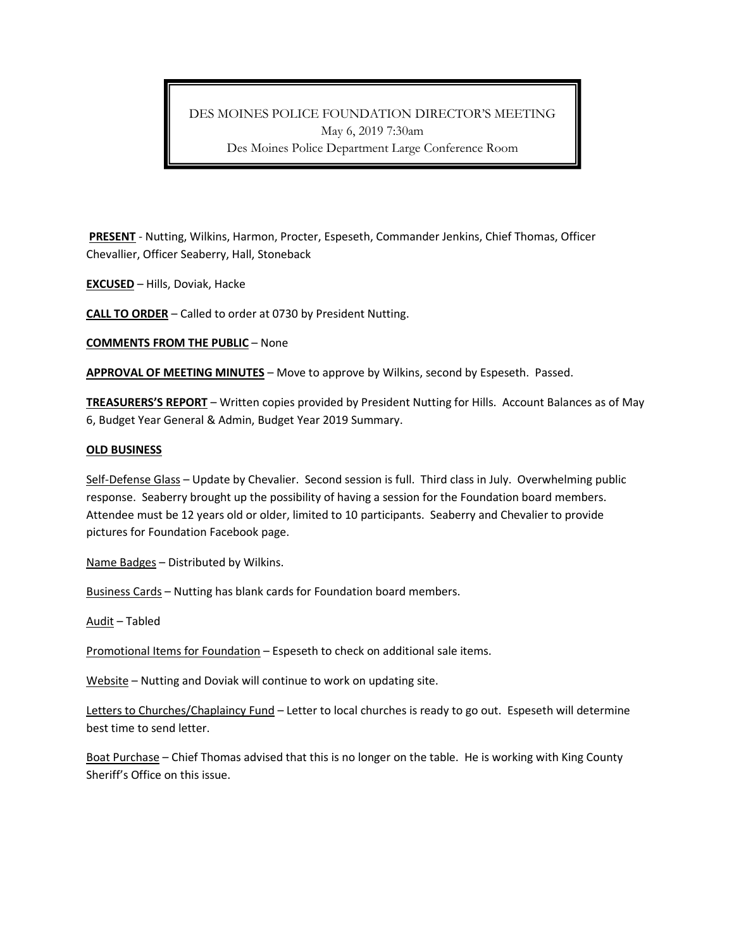## DES MOINES POLICE FOUNDATION DIRECTOR'S MEETING May 6, 2019 7:30am Des Moines Police Department Large Conference Room

**PRESENT** - Nutting, Wilkins, Harmon, Procter, Espeseth, Commander Jenkins, Chief Thomas, Officer Chevallier, Officer Seaberry, Hall, Stoneback

**EXCUSED** – Hills, Doviak, Hacke

**CALL TO ORDER** – Called to order at 0730 by President Nutting.

**COMMENTS FROM THE PUBLIC** – None

**APPROVAL OF MEETING MINUTES** – Move to approve by Wilkins, second by Espeseth. Passed.

**TREASURERS'S REPORT** – Written copies provided by President Nutting for Hills. Account Balances as of May 6, Budget Year General & Admin, Budget Year 2019 Summary.

## **OLD BUSINESS**

Self-Defense Glass – Update by Chevalier. Second session is full. Third class in July. Overwhelming public response. Seaberry brought up the possibility of having a session for the Foundation board members. Attendee must be 12 years old or older, limited to 10 participants. Seaberry and Chevalier to provide pictures for Foundation Facebook page.

Name Badges – Distributed by Wilkins.

Business Cards – Nutting has blank cards for Foundation board members.

Audit – Tabled

Promotional Items for Foundation – Espeseth to check on additional sale items.

Website – Nutting and Doviak will continue to work on updating site.

Letters to Churches/Chaplaincy Fund - Letter to local churches is ready to go out. Espeseth will determine best time to send letter.

Boat Purchase - Chief Thomas advised that this is no longer on the table. He is working with King County Sheriff's Office on this issue.